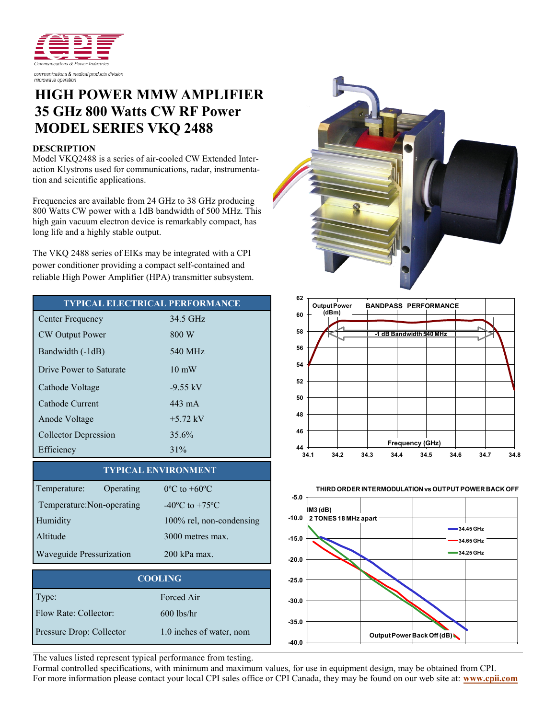

## **HIGH POWER MMW AMPLIFIER 35 GHz 800 Watts CW RF Power MODEL SERIES VKQ 2488**

## **DESCRIPTION**

Model VKQ2488 is a series of air-cooled CW Extended Interaction Klystrons used for communications, radar, instrumentation and scientific applications.

Frequencies are available from 24 GHz to 38 GHz producing 800 Watts CW power with a 1dB bandwidth of 500 MHz. This high gain vacuum electron device is remarkably compact, has long life and a highly stable output.

The VKQ 2488 series of EIKs may be integrated with a CPI power conditioner providing a compact self-contained and reliable High Power Amplifier (HPA) transmitter subsystem.

| <b>TYPICAL ELECTRICAL PERFORMANCE</b> |                    | 62                                |
|---------------------------------------|--------------------|-----------------------------------|
| Center Frequency                      | 34.5 GHz           | 60                                |
| <b>CW</b> Output Power                | 800 W              | 58                                |
| Bandwidth (-1dB)                      | 540 MHz            | 56                                |
| Drive Power to Saturate               | $10 \text{ mW}$    | 54                                |
| Cathode Voltage                       | $-9.55 \text{ kV}$ | 52                                |
| Cathode Current                       | 443 mA             | 50 <sub>2</sub>                   |
| Anode Voltage                         | $+5.72$ kV         | 48                                |
| Collector Depression                  | 35.6%              | 46                                |
| Efficiency                            | 31%                | 44 <sup>°</sup><br>3 <sub>4</sub> |

## **TYPICAL ENVIRONMENT**

| Temperature:               | Operating | $0^{\circ}$ C to +60 $^{\circ}$ C  |
|----------------------------|-----------|------------------------------------|
|                            |           |                                    |
| Temperature: Non-operating |           | $-40^{\circ}$ C to $+75^{\circ}$ C |
| Humidity                   |           | 100% rel, non-condensing           |
| Altitude                   |           | 3000 metres max.                   |
| Waveguide Pressurization   |           | 200 kPa max.                       |

| <b>COOLING</b>           |                          |  |
|--------------------------|--------------------------|--|
| Type:                    | Forced Air               |  |
| Flow Rate: Collector:    | $600$ lbs/hr             |  |
| Pressure Drop: Collector | 1.0 inches of water, nom |  |







The values listed represent typical performance from testing.

Formal controlled specifications, with minimum and maximum values, for use in equipment design, may be obtained from CPI. For more information please contact your local CPI sales office or CPI Canada, they may be found on our web site at: **[www.cpii.com](http://www.cpii.com)**